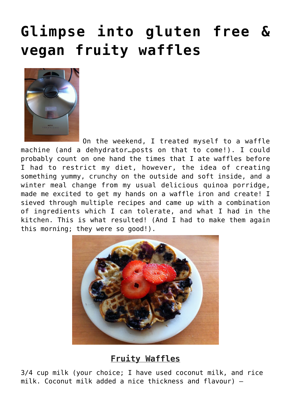## **[Glimpse into gluten free &](https://www.glimpsinggembles.com/2013/08/01/glimpse-into-gluten-free-vegan-fruity-waffles/) [vegan fruity waffles](https://www.glimpsinggembles.com/2013/08/01/glimpse-into-gluten-free-vegan-fruity-waffles/)**



On the weekend, I treated myself to a waffle machine (and a dehydrator…posts on that to come!). I could probably count on one hand the times that I ate waffles before I had to restrict my diet, however, the idea of creating something yummy, crunchy on the outside and soft inside, and a winter meal change from my usual delicious quinoa porridge, made me excited to get my hands on a waffle iron and create! I sieved through multiple recipes and came up with a combination of ingredients which I can tolerate, and what I had in the kitchen. This is what resulted! (And I had to make them again this morning; they were so good!).



## **Fruity Waffles**

3/4 cup milk (your choice; I have used coconut milk, and rice milk. Coconut milk added a nice thickness and flavour) –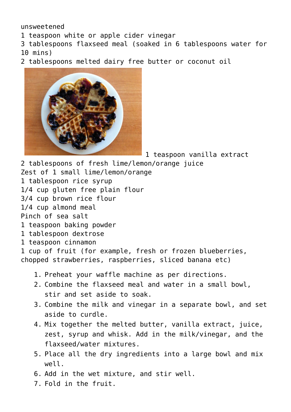unsweetened

1 teaspoon white or apple cider vinegar

3 tablespoons flaxseed meal (soaked in 6 tablespoons water for 10 mins)

2 tablespoons melted dairy free butter or coconut oil



1 teaspoon vanilla extract

2 tablespoons of fresh lime/lemon/orange juice Zest of 1 small lime/lemon/orange 1 tablespoon rice syrup 1/4 cup gluten free plain flour 3/4 cup brown rice flour 1/4 cup almond meal Pinch of sea salt 1 teaspoon baking powder 1 tablespoon dextrose 1 teaspoon cinnamon 1 cup of fruit (for example, fresh or frozen blueberries, chopped strawberries, raspberries, sliced banana etc)

- 1. Preheat your waffle machine as per directions.
- 2. Combine the flaxseed meal and water in a small bowl, stir and set aside to soak.
- 3. Combine the milk and vinegar in a separate bowl, and set aside to curdle.
- 4. Mix together the melted butter, vanilla extract, juice, zest, syrup and whisk. Add in the milk/vinegar, and the flaxseed/water mixtures.
- 5. Place all the dry ingredients into a large bowl and mix well.
- 6. Add in the wet mixture, and stir well.
- 7. Fold in the fruit.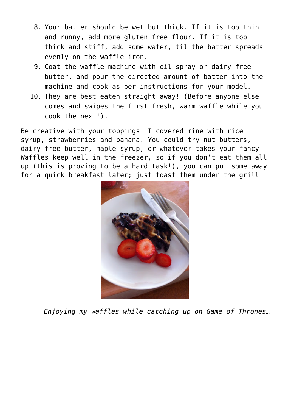- 8. Your batter should be wet but thick. If it is too thin and runny, add more gluten free flour. If it is too thick and stiff, add some water, til the batter spreads evenly on the waffle iron.
- 9. Coat the waffle machine with oil spray or dairy free butter, and pour the directed amount of batter into the machine and cook as per instructions for your model.
- 10. They are best eaten straight away! (Before anyone else comes and swipes the first fresh, warm waffle while you cook the next!).

Be creative with your toppings! I covered mine with rice syrup, strawberries and banana. You could try nut butters, dairy free butter, maple syrup, or whatever takes your fancy! Waffles keep well in the freezer, so if you don't eat them all up (this is proving to be a hard task!), you can put some away for a quick breakfast later; just toast them under the grill!



*Enjoying my waffles while catching up on Game of Thrones…*